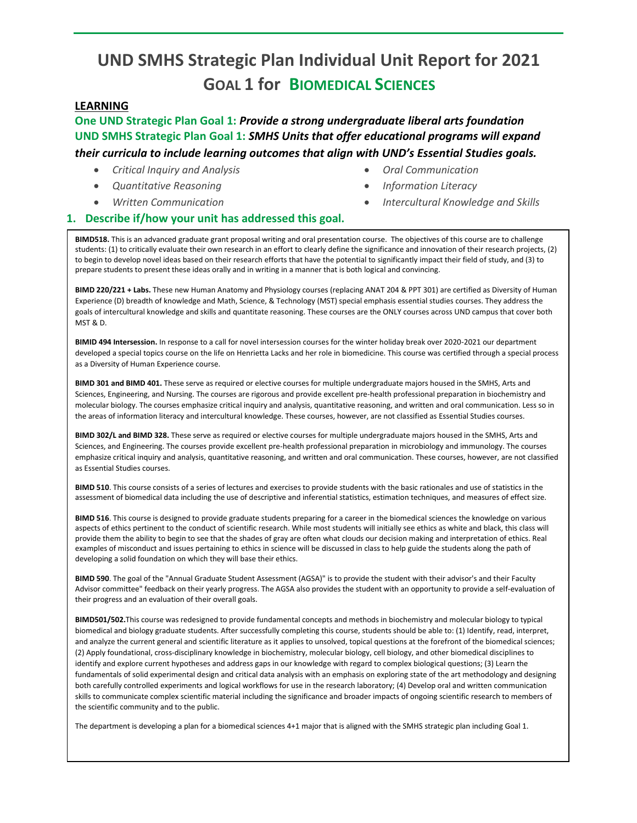# **UND SMHS Strategic Plan Individual Unit Report for 2021 GOAL 1 for BIOMEDICAL SCIENCES**

#### **LEARNING**

**One UND Strategic Plan Goal 1:** *Provide a strong undergraduate liberal arts foundation* **UND SMHS Strategic Plan Goal 1:** *SMHS Units that offer educational programs will expand* 

## *their curricula to include learning outcomes that align with UND's Essential Studies goals.*

- *Critical Inquiry and Analysis*
- *Quantitative Reasoning*
- *Written Communication*
- *Oral Communication*
- *Information Literacy*
	- *Intercultural Knowledge and Skills*

#### **1. Describe if/how your unit has addressed this goal.**

**BIMD518.** This is an advanced graduate grant proposal writing and oral presentation course. The objectives of this course are to challenge students: (1) to critically evaluate their own research in an effort to clearly define the significance and innovation of their research projects, (2) to begin to develop novel ideas based on their research efforts that have the potential to significantly impact their field of study, and (3) to prepare students to present these ideas orally and in writing in a manner that is both logical and convincing.

**BIMD 220/221 + Labs.** These new Human Anatomy and Physiology courses (replacing ANAT 204 & PPT 301) are certified as Diversity of Human Experience (D) breadth of knowledge and Math, Science, & Technology (MST) special emphasis essential studies courses. They address the goals of intercultural knowledge and skills and quantitate reasoning. These courses are the ONLY courses across UND campus that cover both MST & D.

**BIMID 494 Intersession.** In response to a call for novel intersession courses for the winter holiday break over 2020-2021 our department developed a special topics course on the life on Henrietta Lacks and her role in biomedicine. This course was certified through a special process as a Diversity of Human Experience course.

**BIMD 301 and BIMD 401.** These serve as required or elective courses for multiple undergraduate majors housed in the SMHS, Arts and Sciences, Engineering, and Nursing. The courses are rigorous and provide excellent pre-health professional preparation in biochemistry and molecular biology. The courses emphasize critical inquiry and analysis, quantitative reasoning, and written and oral communication. Less so in the areas of information literacy and intercultural knowledge. These courses, however, are not classified as Essential Studies courses.

**BIMD 302/L and BIMD 328.** These serve as required or elective courses for multiple undergraduate majors housed in the SMHS, Arts and Sciences, and Engineering. The courses provide excellent pre-health professional preparation in microbiology and immunology. The courses emphasize critical inquiry and analysis, quantitative reasoning, and written and oral communication. These courses, however, are not classified as Essential Studies courses.

**BIMD 510**. This course consists of a series of lectures and exercises to provide students with the basic rationales and use of statistics in the assessment of biomedical data including the use of descriptive and inferential statistics, estimation techniques, and measures of effect size.

**BIMD 516**. This course is designed to provide graduate students preparing for a career in the biomedical sciences the knowledge on various aspects of ethics pertinent to the conduct of scientific research. While most students will initially see ethics as white and black, this class will provide them the ability to begin to see that the shades of gray are often what clouds our decision making and interpretation of ethics. Real examples of misconduct and issues pertaining to ethics in science will be discussed in class to help guide the students along the path of developing a solid foundation on which they will base their ethics.

**BIMD 590**. The goal of the "Annual Graduate Student Assessment (AGSA)" is to provide the student with their advisor's and their Faculty Advisor committee" feedback on their yearly progress. The AGSA also provides the student with an opportunity to provide a self-evaluation of their progress and an evaluation of their overall goals.

**BIMD501/502.**This course was redesigned to provide fundamental concepts and methods in biochemistry and molecular biology to typical biomedical and biology graduate students. After successfully completing this course, students should be able to: (1) Identify, read, interpret, and analyze the current general and scientific literature as it applies to unsolved, topical questions at the forefront of the biomedical sciences; (2) Apply foundational, cross-disciplinary knowledge in biochemistry, molecular biology, cell biology, and other biomedical disciplines to identify and explore current hypotheses and address gaps in our knowledge with regard to complex biological questions; (3) Learn the fundamentals of solid experimental design and critical data analysis with an emphasis on exploring state of the art methodology and designing both carefully controlled experiments and logical workflows for use in the research laboratory; (4) Develop oral and written communication skills to communicate complex scientific material including the significance and broader impacts of ongoing scientific research to members of the scientific community and to the public.

The department is developing a plan for a biomedical sciences 4+1 major that is aligned with the SMHS strategic plan including Goal 1.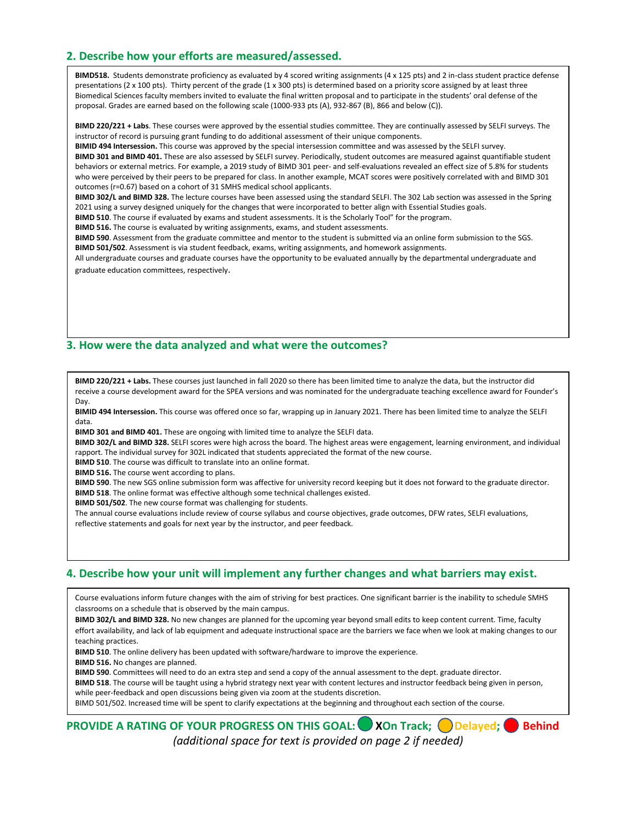### **2. Describe how your efforts are measured/assessed.**

**BIMD518.** Students demonstrate proficiency as evaluated by 4 scored writing assignments (4 x 125 pts) and 2 in-class student practice defense presentations (2 x 100 pts). Thirty percent of the grade (1 x 300 pts) is determined based on a priority score assigned by at least three Biomedical Sciences faculty members invited to evaluate the final written proposal and to participate in the students' oral defense of the proposal. Grades are earned based on the following scale (1000-933 pts (A), 932-867 (B), 866 and below (C)).

**BIMD 220/221 + Labs**. These courses were approved by the essential studies committee. They are continually assessed by SELFI surveys. The instructor of record is pursuing grant funding to do additional assessment of their unique components.

**BIMID 494 Intersession.** This course was approved by the special intersession committee and was assessed by the SELFI survey.

**BIMD 301 and BIMD 401.** These are also assessed by SELFI survey. Periodically, student outcomes are measured against quantifiable student behaviors or external metrics. For example, a 2019 study of BIMD 301 peer- and self-evaluations revealed an effect size of 5.8% for students who were perceived by their peers to be prepared for class. In another example, MCAT scores were positively correlated with and BIMD 301 outcomes (r=0.67) based on a cohort of 31 SMHS medical school applicants.

**BIMD 302/L and BIMD 328.** The lecture courses have been assessed using the standard SELFI. The 302 Lab section was assessed in the Spring 2021 using a survey designed uniquely for the changes that were incorporated to better align with Essential Studies goals.

**BIMD 510**. The course if evaluated by exams and student assessments. It is the Scholarly Tool" for the program.

**BIMD 516.** The course is evaluated by writing assignments, exams, and student assessments.

**BIMD 590**. Assessment from the graduate committee and mentor to the student is submitted via an online form submission to the SGS. **BIMD 501/502**. Assessment is via student feedback, exams, writing assignments, and homework assignments.

All undergraduate courses and graduate courses have the opportunity to be evaluated annually by the departmental undergraduate and graduate education committees, respectively.

#### **3. How were the data analyzed and what were the outcomes?**

**BIMD 220/221 + Labs.** These courses just launched in fall 2020 so there has been limited time to analyze the data, but the instructor did receive a course development award for the SPEA versions and was nominated for the undergraduate teaching excellence award for Founder's Day.

**BIMID 494 Intersession.** This course was offered once so far, wrapping up in January 2021. There has been limited time to analyze the SELFI data.

**BIMD 301 and BIMD 401.** These are ongoing with limited time to analyze the SELFI data.

**BIMD 302/L and BIMD 328.** SELFI scores were high across the board. The highest areas were engagement, learning environment, and individual rapport. The individual survey for 302L indicated that students appreciated the format of the new course.

**BIMD 510**. The course was difficult to translate into an online format.

**BIMD 516.** The course went according to plans.

**BIMD 590**. The new SGS online submission form was affective for university record keeping but it does not forward to the graduate director. **BIMD 518**. The online format was effective although some technical challenges existed.

**BIMD 501/502**. The new course format was challenging for students.

The annual course evaluations include review of course syllabus and course objectives, grade outcomes, DFW rates, SELFI evaluations, reflective statements and goals for next year by the instructor, and peer feedback.

#### **4. Describe how your unit will implement any further changes and what barriers may exist.**

Course evaluations inform future changes with the aim of striving for best practices. One significant barrier is the inability to schedule SMHS classrooms on a schedule that is observed by the main campus.

**BIMD 302/L and BIMD 328.** No new changes are planned for the upcoming year beyond small edits to keep content current. Time, faculty effort availability, and lack of lab equipment and adequate instructional space are the barriers we face when we look at making changes to our teaching practices.

**BIMD 510**. The online delivery has been updated with software/hardware to improve the experience.

**BIMD 516.** No changes are planned.

**BIMD 590**. Committees will need to do an extra step and send a copy of the annual assessment to the dept. graduate director.

**BIMD 518**. The course will be taught using a hybrid strategy next year with content lectures and instructor feedback being given in person,

while peer-feedback and open discussions being given via zoom at the students discretion.

BIMD 501/502. Increased time will be spent to clarify expectations at the beginning and throughout each section of the course.

# **PROVIDE A RATING OF YOUR PROGRESS ON THIS GOAL:** XOn Track; ODelayed; Behind *(additional space for text is provided on page 2 if needed)* x